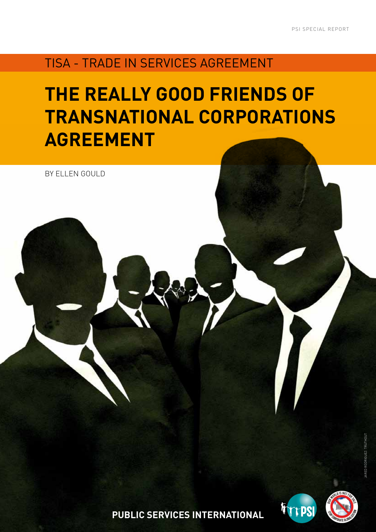#### TISA - trade in services agreement

## **The really good friends of transnational corporations agreement**

By Ellen Gould

**Public services international**



**TYT DSI**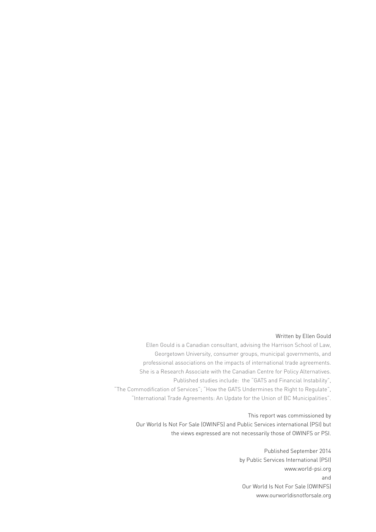#### Written by Ellen Gould

Ellen Gould is a Canadian consultant, advising the Harrison School of Law, Georgetown University, consumer groups, municipal governments, and professional associations on the impacts of international trade agreements. She is a Research Associate with the Canadian Centre for Policy Alternatives. Published studies include: the "GATS and Financial Instability", "The Commodification of Services"; "How the GATS Undermines the Right to Regulate", "International Trade Agreements: An Update for the Union of BC Municipalities".

#### This report was commissioned by

Our World Is Not For Sale (OWINFS) and Public Services international (PSI) but the views expressed are not necessarily those of OWINFS or PSI.

> Published September 2014 by Public Services International (PSI) www.world-psi.org and Our World Is Not For Sale (OWINFS) www.ourworldisnotforsale.org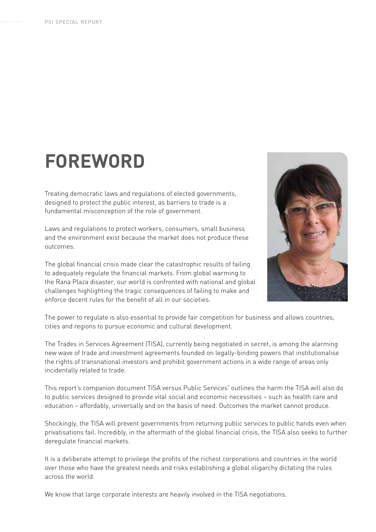#### **Foreword**

Treating democratic laws and regulations of elected governments, designed to protect the public interest, as barriers to trade is a fundamental misconception of the role of government.

Laws and regulations to protect workers, consumers, small business and the environment exist because the market does not produce these outcomes.

The global financial crisis made clear the catastrophic results of failing to adequately regulate the financial markets. From global warming to the Rana Plaza disaster, our world is confronted with national and global challenges highlighting the tragic consequences of failing to make and enforce decent rules for the benefit of all in our societies.



The power to regulate is also essential to provide fair competition for business and allows countries, cities and regions to pursue economic and cultural development.

The Trades in Services Agreement (TISA), currently being negotiated in secret, is among the alarming new wave of trade and investment agreements founded on legally-binding powers that institutionalise the rights of transnational investors and prohibit government actions in a wide range of areas only incidentally related to trade.

This report's companion document TISA versus Public Services\* outlines the harm the TISA will also do to public services designed to provide vital social and economic necessities – such as health care and education – affordably, universally and on the basis of need. Outcomes the market cannot produce.

Shockingly, the TISA will prevent governments from returning public services to public hands even when privatisations fail. Incredibly, in the aftermath of the global financial crisis, the TISA also seeks to further deregulate financial markets.

It is a deliberate attempt to privilege the profits of the richest corporations and countries in the world over those who have the greatest needs and risks establishing a global oligarchy dictating the rules across the world.

We know that large corporate interests are heavily involved in the TISA negotiations.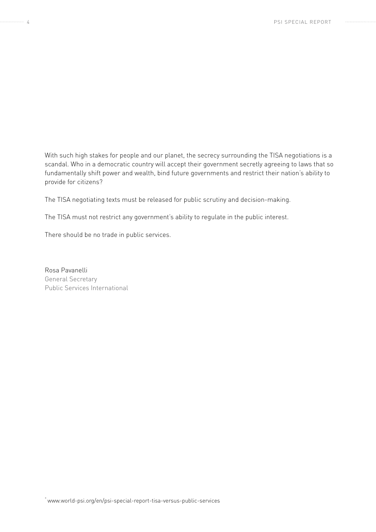With such high stakes for people and our planet, the secrecy surrounding the TISA negotiations is a scandal. Who in a democratic country will accept their government secretly agreeing to laws that so fundamentally shift power and wealth, bind future governments and restrict their nation's ability to provide for citizens?

The TISA negotiating texts must be released for public scrutiny and decision-making.

The TISA must not restrict any government's ability to regulate in the public interest.

There should be no trade in public services.

Rosa Pavanelli General Secretary Public Services International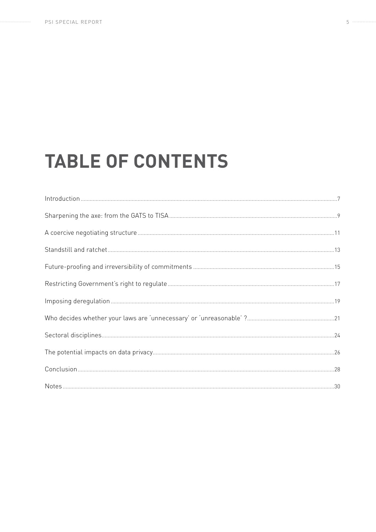. . . . . . .

# **TABLE OF CONTENTS**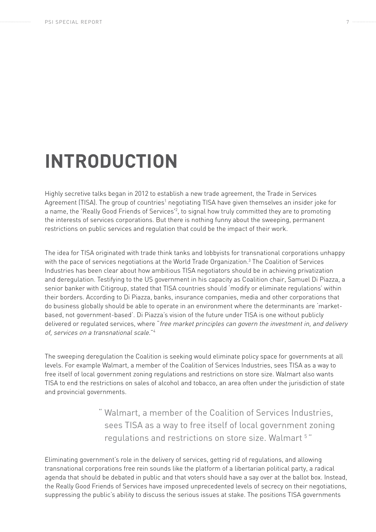#### **Introduction**

Highly secretive talks began in 2012 to establish a new trade agreement, the Trade in Services Agreement (TISA). The group of countries<sup>1</sup> negotiating TISA have given themselves an insider joke for a name, the 'Really Good Friends of Services'2 , to signal how truly committed they are to promoting the interests of services corporations. But there is nothing funny about the sweeping, permanent restrictions on public services and regulation that could be the impact of their work.

The idea for TISA originated with trade think tanks and lobbyists for transnational corporations unhappy with the pace of services negotiations at the World Trade Organization.<sup>3</sup> The Coalition of Services Industries has been clear about how ambitious TISA negotiators should be in achieving privatization and deregulation. Testifying to the US government in his capacity as Coalition chair, Samuel Di Piazza, a senior banker with Citigroup, stated that TISA countries should 'modify or eliminate regulations' within their borders. According to Di Piazza, banks, insurance companies, media and other corporations that do business globally should be able to operate in an environment where the determinants are 'marketbased, not government-based'. Di Piazza's vision of the future under TISA is one without publicly delivered or regulated services, where "free market principles can govern the investment in, and delivery of, services on a transnational scale."4

The sweeping deregulation the Coalition is seeking would eliminate policy space for governments at all levels. For example Walmart, a member of the Coalition of Services Industries, sees TISA as a way to free itself of local government zoning regulations and restrictions on store size. Walmart also wants TISA to end the restrictions on sales of alcohol and tobacco, an area often under the jurisdiction of state and provincial governments.

> " Walmart, a member of the Coalition of Services Industries, sees TISA as a way to free itself of local government zoning regulations and restrictions on store size. Walmart 5 "

Eliminating government's role in the delivery of services, getting rid of regulations, and allowing transnational corporations free rein sounds like the platform of a libertarian political party, a radical agenda that should be debated in public and that voters should have a say over at the ballot box. Instead, the Really Good Friends of Services have imposed unprecedented levels of secrecy on their negotiations, suppressing the public's ability to discuss the serious issues at stake. The positions TISA governments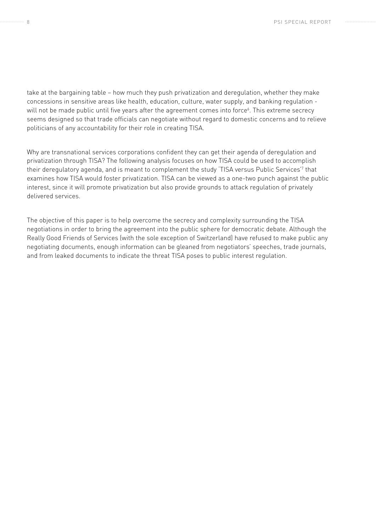take at the bargaining table – how much they push privatization and deregulation, whether they make concessions in sensitive areas like health, education, culture, water supply, and banking regulation will not be made public until five years after the agreement comes into force $\stackrel{e}{\text{}}$ . This extreme secrecy seems designed so that trade officials can negotiate without regard to domestic concerns and to relieve politicians of any accountability for their role in creating TISA.

Why are transnational services corporations confident they can get their agenda of deregulation and privatization through TISA? The following analysis focuses on how TISA could be used to accomplish their deregulatory agenda, and is meant to complement the study 'TISA versus Public Services'<sup>7</sup> that examines how TISA would foster privatization. TISA can be viewed as a one-two punch against the public interest, since it will promote privatization but also provide grounds to attack regulation of privately delivered services.

The objective of this paper is to help overcome the secrecy and complexity surrounding the TISA negotiations in order to bring the agreement into the public sphere for democratic debate. Although the Really Good Friends of Services (with the sole exception of Switzerland) have refused to make public any negotiating documents, enough information can be gleaned from negotiators' speeches, trade journals, and from leaked documents to indicate the threat TISA poses to public interest regulation.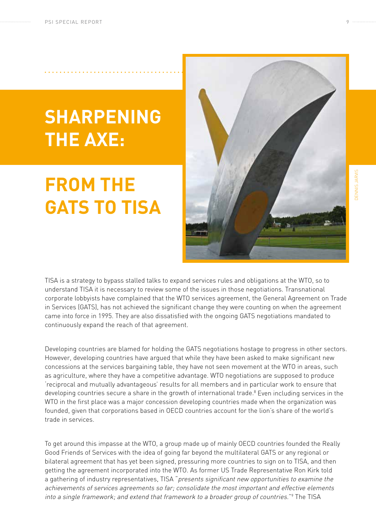#### **Sharpening the axe:**

## **FROM THE GATS to TISA**



TISA is a strategy to bypass stalled talks to expand services rules and obligations at the WTO, so to understand TISA it is necessary to review some of the issues in those negotiations. Transnational corporate lobbyists have complained that the WTO services agreement, the General Agreement on Trade in Services (GATS), has not achieved the significant change they were counting on when the agreement came into force in 1995. They are also dissatisfied with the ongoing GATS negotiations mandated to continuously expand the reach of that agreement.

Developing countries are blamed for holding the GATS negotiations hostage to progress in other sectors. However, developing countries have argued that while they have been asked to make significant new concessions at the services bargaining table, they have not seen movement at the WTO in areas, such as agriculture, where they have a competitive advantage. WTO negotiations are supposed to produce 'reciprocal and mutually advantageous' results for all members and in particular work to ensure that developing countries secure a share in the growth of international trade.<sup>8</sup> Even including services in the WTO in the first place was a major concession developing countries made when the organization was founded, given that corporations based in OECD countries account for the lion's share of the world's trade in services.

To get around this impasse at the WTO, a group made up of mainly OECD countries founded the Really Good Friends of Services with the idea of going far beyond the multilateral GATS or any regional or bilateral agreement that has yet been signed, pressuring more countries to sign on to TISA, and then getting the agreement incorporated into the WTO. As former US Trade Representative Ron Kirk told a gathering of industry representatives, TISA "presents significant new opportunities to examine the achievements of services agreements so far; consolidate the most important and effective elements into a single framework; and extend that framework to a broader group of countries."<sup>9</sup> The TISA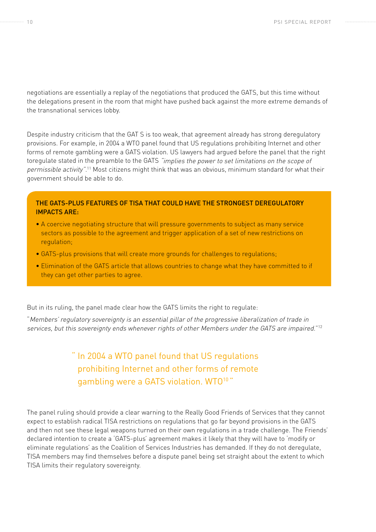negotiations are essentially a replay of the negotiations that produced the GATS, but this time without the delegations present in the room that might have pushed back against the more extreme demands of the transnational services lobby.

Despite industry criticism that the GAT S is too weak, that agreement already has strong deregulatory provisions. For example, in 2004 a WTO panel found that US regulations prohibiting Internet and other forms of remote gambling were a GATS violation. US lawyers had argued before the panel that the right toregulate stated in the preamble to the GATS "implies the power to set limitations on the scope of permissible activity".<sup>11</sup> Most citizens might think that was an obvious, minimum standard for what their government should be able to do.

#### The GATS-plus features of TISA that could have the strongest deregulatory impacts are:

- A coercive negotiating structure that will pressure governments to subject as many service sectors as possible to the agreement and trigger application of a set of new restrictions on regulation;
- GATS-plus provisions that will create more grounds for challenges to regulations;
- Elimination of the GATS article that allows countries to change what they have committed to if they can get other parties to agree.

But in its ruling, the panel made clear how the GATS limits the right to regulate:

"Members' regulatory sovereignty is an essential pillar of the progressive liberalization of trade in services, but this sovereignty ends whenever rights of other Members under the GATS are impaired."<sup>12</sup>

> " In 2004 a WTO panel found that US regulations prohibiting Internet and other forms of remote gambling were a GATS violation. WTO<sup>10</sup>"

The panel ruling should provide a clear warning to the Really Good Friends of Services that they cannot expect to establish radical TISA restrictions on regulations that go far beyond provisions in the GATS and then not see these legal weapons turned on their own regulations in a trade challenge. The Friends' declared intention to create a 'GATS-plus' agreement makes it likely that they will have to 'modify or eliminate regulations' as the Coalition of Services Industries has demanded. If they do not deregulate, TISA members may find themselves before a dispute panel being set straight about the extent to which TISA limits their regulatory sovereignty.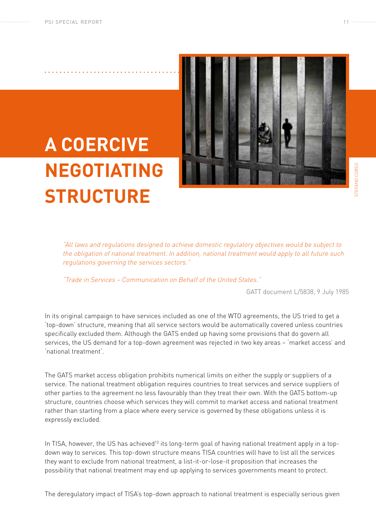# **A coercive negotiating**



"All laws and regulations designed to achieve domestic regulatory objectives would be subject to the obligation of national treatment. In addition, national treatment would apply to all future such regulations governing the services sectors."

"Trade in Services – Communication on Behalf of the United States."

GATT document L/5838, 9 July 1985

In its original campaign to have services included as one of the WTO agreements, the US tried to get a 'top-down' structure, meaning that all service sectors would be automatically covered unless countries specifically excluded them. Although the GATS ended up having some provisions that do govern all services, the US demand for a top-down agreement was rejected in two key areas – 'market access' and 'national treatment'.

The GATS market access obligation prohibits numerical limits on either the supply or suppliers of a service. The national treatment obligation requires countries to treat services and service suppliers of other parties to the agreement no less favourably than they treat their own. With the GATS bottom-up structure, countries choose which services they will commit to market access and national treatment rather than starting from a place where every service is governed by these obligations unless it is expressly excluded.

In TISA, however, the US has achieved<sup>13</sup> its long-term goal of having national treatment apply in a topdown way to services. This top-down structure means TISA countries will have to list all the services they want to exclude from national treatment, a list-it-or-lose-it proposition that increases the possibility that national treatment may end up applying to services governments meant to protect.

The deregulatory impact of TISA's top-down approach to national treatment is especially serious given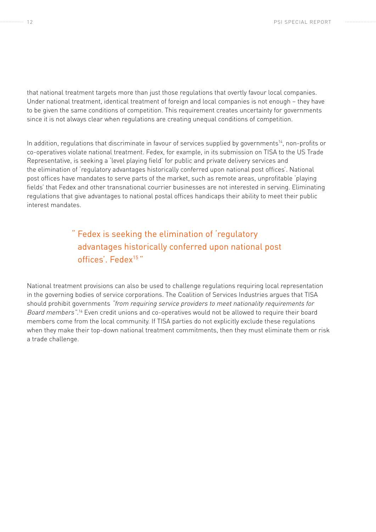that national treatment targets more than just those regulations that overtly favour local companies. Under national treatment, identical treatment of foreign and local companies is not enough – they have to be given the same conditions of competition. This requirement creates uncertainty for governments since it is not always clear when regulations are creating unequal conditions of competition.

In addition, regulations that discriminate in favour of services supplied by governments<sup>14</sup>, non-profits or co-operatives violate national treatment. Fedex, for example, in its submission on TISA to the US Trade Representative, is seeking a 'level playing field' for public and private delivery services and the elimination of 'regulatory advantages historically conferred upon national post offices'. National post offices have mandates to serve parts of the market, such as remote areas, unprofitable 'playing fields' that Fedex and other transnational courrier businesses are not interested in serving. Eliminating regulations that give advantages to national postal offices handicaps their ability to meet their public interest mandates.

> " Fedex is seeking the elimination of 'regulatory advantages historically conferred upon national post offices'. Fedex15 "

National treatment provisions can also be used to challenge regulations requiring local representation in the governing bodies of service corporations. The Coalition of Services Industries argues that TISA should prohibit governments "from requiring service providers to meet nationality requirements for Board members".<sup>16</sup> Even credit unions and co-operatives would not be allowed to require their board members come from the local community. If TISA parties do not explicitly exclude these regulations when they make their top-down national treatment commitments, then they must eliminate them or risk a trade challenge.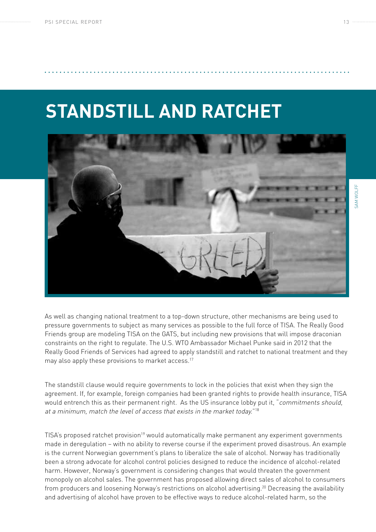#### **Standstill and ratchet**



As well as changing national treatment to a top-down structure, other mechanisms are being used to pressure governments to subject as many services as possible to the full force of TISA. The Really Good Friends group are modeling TISA on the GATS, but including new provisions that will impose draconian constraints on the right to regulate. The U.S. WTO Ambassador Michael Punke said in 2012 that the Really Good Friends of Services had agreed to apply standstill and ratchet to national treatment and they may also apply these provisions to market access.<sup>17</sup>

The standstill clause would require governments to lock in the policies that exist when they sign the agreement. If, for example, foreign companies had been granted rights to provide health insurance, TISA would entrench this as their permanent right. As the US insurance lobby put it, "commitments should, at a minimum, match the level of access that exists in the market today."<sup>18</sup>

TISA's proposed ratchet provision<sup>19</sup> would automatically make permanent any experiment governments made in deregulation – with no ability to reverse course if the experiment proved disastrous. An example is the current Norwegian government's plans to liberalize the sale of alcohol. Norway has traditionally been a strong advocate for alcohol control policies designed to reduce the incidence of alcohol-related harm. However, Norway's government is considering changes that would threaten the government monopoly on alcohol sales. The government has proposed allowing direct sales of alcohol to consumers from producers and loosening Norway's restrictions on alcohol advertising.20 Decreasing the availability and advertising of alcohol have proven to be effective ways to reduce alcohol-related harm, so the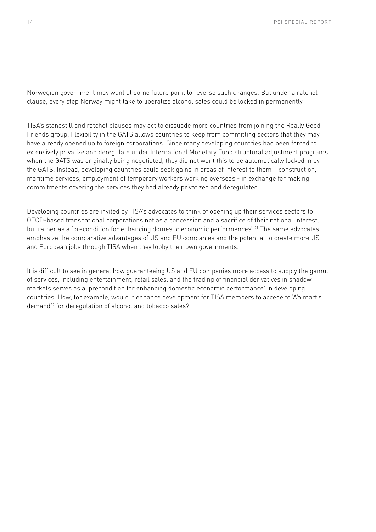Norwegian government may want at some future point to reverse such changes. But under a ratchet clause, every step Norway might take to liberalize alcohol sales could be locked in permanently.

TISA's standstill and ratchet clauses may act to dissuade more countries from joining the Really Good Friends group. Flexibility in the GATS allows countries to keep from committing sectors that they may have already opened up to foreign corporations. Since many developing countries had been forced to extensively privatize and deregulate under International Monetary Fund structural adjustment programs when the GATS was originally being negotiated, they did not want this to be automatically locked in by the GATS. Instead, developing countries could seek gains in areas of interest to them – construction, maritime services, employment of temporary workers working overseas - in exchange for making commitments covering the services they had already privatized and deregulated.

Developing countries are invited by TISA's advocates to think of opening up their services sectors to OECD-based transnational corporations not as a concession and a sacrifice of their national interest, but rather as a 'precondition for enhancing domestic economic performances'.21 The same advocates emphasize the comparative advantages of US and EU companies and the potential to create more US and European jobs through TISA when they lobby their own governments.

It is difficult to see in general how guaranteeing US and EU companies more access to supply the gamut of services, including entertainment, retail sales, and the trading of financial derivatives in shadow markets serves as a 'precondition for enhancing domestic economic performance' in developing countries. How, for example, would it enhance development for TISA members to accede to Walmart's demand<sup>22</sup> for deregulation of alcohol and tobacco sales?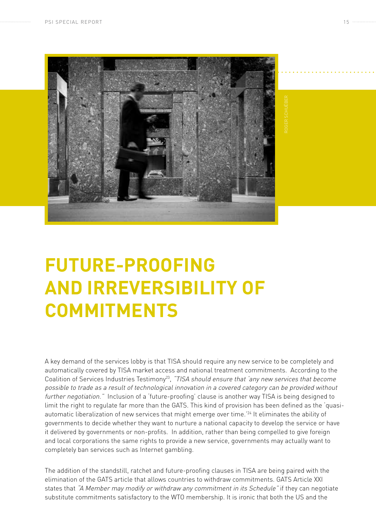

#### **Future-proofing and irreversibility of commitments**

A key demand of the services lobby is that TISA should require any new service to be completely and automatically covered by TISA market access and national treatment commitments. According to the Coalition of Services Industries Testimony<sup>23</sup>, "TISA should ensure that 'any new services that become possible to trade as a result of technological innovation in a covered category can be provided without further negotiation." Inclusion of a 'future-proofing' clause is another way TISA is being designed to limit the right to regulate far more than the GATS. This kind of provision has been defined as the 'quasiautomatic liberalization of new services that might emerge over time.<sup>'24</sup> It eliminates the ability of governments to decide whether they want to nurture a national capacity to develop the service or have it delivered by governments or non-profits. In addition, rather than being compelled to give foreign and local corporations the same rights to provide a new service, governments may actually want to completely ban services such as Internet gambling.

The addition of the standstill, ratchet and future-proofing clauses in TISA are being paired with the elimination of the GATS article that allows countries to withdraw commitments. GATS Article XXI states that "A Member may modify or withdraw any commitment in its Schedule" if they can negotiate substitute commitments satisfactory to the WTO membership. It is ironic that both the US and the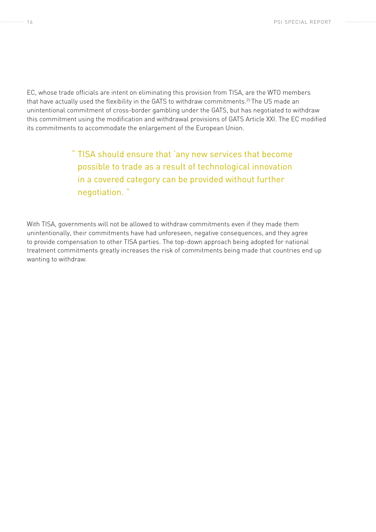EC, whose trade officials are intent on eliminating this provision from TISA, are the WTO members that have actually used the flexibility in the GATS to withdraw commitments.<sup>25</sup> The US made an unintentional commitment of cross-border gambling under the GATS, but has negotiated to withdraw this commitment using the modification and withdrawal provisions of GATS Article XXI. The EC modified its commitments to accommodate the enlargement of the European Union.

> " TISA should ensure that 'any new services that become possible to trade as a result of technological innovation in a covered category can be provided without further negotiation. "

With TISA, governments will not be allowed to withdraw commitments even if they made them unintentionally, their commitments have had unforeseen, negative consequences, and they agree to provide compensation to other TISA parties. The top-down approach being adopted for national treatment commitments greatly increases the risk of commitments being made that countries end up wanting to withdraw.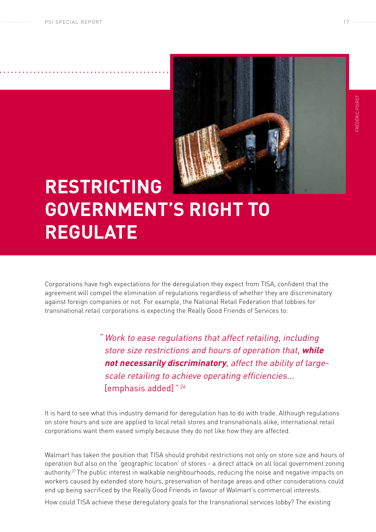

### **RESTRICTING GOVERNMENT'S RIGHT TO REGULATE**

Corporations have high expectations for the deregulation they expect from TISA, confident that the agreement will compel the elimination of regulations regardless of whether they are discriminatory against foreign companies or not. For example, the National Retail Federation that lobbies for transnational retail corporations is expecting the Really Good Friends of Services to:

> " Work to ease regulations that affect retailing, including store size restrictions and hours of operation that, **while not necessarily discriminatory**, affect the ability of largescale retailing to achieve operating efficiencies... [emphasis added]" 26

It is hard to see what this industry demand for deregulation has to do with trade. Although regulations on store hours and size are applied to local retail stores and transnationals alike, international retail corporations want them eased simply because they do not like how they are affected.

Walmart has taken the position that TISA should prohibit restrictions not only on store size and hours of operation but also on the 'geographic location' of stores - a direct attack on all local government zoning authority.27 The public interest in walkable neighbourhoods, reducing the noise and negative impacts on workers caused by extended store hours, preservation of heritage areas and other considerations could end up being sacrificed by the Really Good Friends in favour of Walmart's commercial interests.

How could TISA achieve these deregulatory goals for the transnational services lobby? The existing

Frédéric Poirot **RÉDÉRIC POIROT**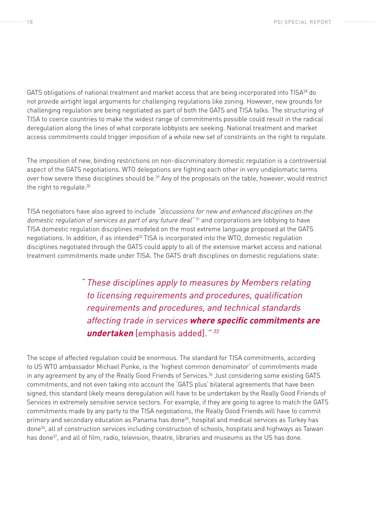GATS obligations of national treatment and market access that are being incorporated into TISA28 do not provide airtight legal arguments for challenging regulations like zoning. However, new grounds for challenging regulation are being negotiated as part of both the GATS and TISA talks. The structuring of TISA to coerce countries to make the widest range of commitments possible could result in the radical deregulation along the lines of what corporate lobbyists are seeking. National treatment and market access commitments could trigger imposition of a whole new set of constraints on the right to regulate.

The imposition of new, binding restrictions on non-discriminatory domestic regulation is a controversial aspect of the GATS negotiations. WTO delegations are fighting each other in very undiplomatic terms over how severe these disciplines should be.<sup>29</sup> Any of the proposals on the table, however, would restrict the right to regulate.<sup>30</sup>

TISA negotiators have also agreed to include "discussions for new and enhanced disciplines on the domestic regulation of services as part of any future deal"<sup>31</sup> and corporations are lobbying to have TISA domestic regulation disciplines modeled on the most extreme language proposed at the GATS negotiations. In addition, if as intended<sup>32</sup> TISA is incorporated into the WTO, domestic regulation disciplines negotiated through the GATS could apply to all of the extensive market access and national treatment commitments made under TISA. The GATS draft disciplines on domestic regulations state:

> " These disciplines apply to measures by Members relating to licensing requirements and procedures, qualification requirements and procedures, and technical standards affecting trade in services **where specific commitments are undertaken** [emphasis added]." <sup>33</sup>

The scope of affected regulation could be enormous. The standard for TISA commitments, according to US WTO ambassador Michael Punke, is the 'highest common denominator' of commitments made in any agreement by any of the Really Good Friends of Services.<sup>34</sup> Just considering some existing GATS commitments, and not even taking into account the 'GATS plus' bilateral agreements that have been signed, this standard likely means deregulation will have to be undertaken by the Really Good Friends of Services in extremely sensitive service sectors. For example, if they are going to agree to match the GATS commitments made by any party to the TISA negotiations, the Really Good Friends will have to commit primary and secondary education as Panama has done<sup>35</sup>, hospital and medical services as Turkey has done36, all of construction services including construction of schools, hospitals and highways as Taiwan has done<sup>37</sup>, and all of film, radio, television, theatre, libraries and museums as the US has done.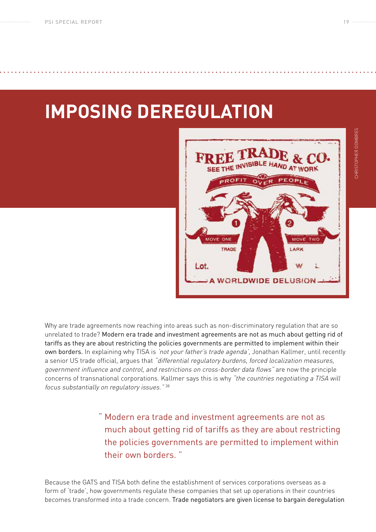#### **IMPOSING DEREGULATION**



Why are trade agreements now reaching into areas such as non-discriminatory regulation that are so unrelated to trade? Modern era trade and investment agreements are not as much about getting rid of tariffs as they are about restricting the policies governments are permitted to implement within their own borders. In explaining why TISA is 'not your father's trade agenda', Jonathan Kallmer, until recently a senior US trade official, argues that "differential regulatory burdens, forced localization measures, government influence and control, and restrictions on cross-border data flows" are now the principle concerns of transnational corporations. Kallmer says this is why "the countries negotiating a TISA will focus substantially on regulatory issues." <sup>38</sup>

> " Modern era trade and investment agreements are not as much about getting rid of tariffs as they are about restricting the policies governments are permitted to implement within their own borders. "

Because the GATS and TISA both define the establishment of services corporations overseas as a form of 'trade', how governments regulate these companies that set up operations in their countries becomes transformed into a trade concern. Trade negotiators are given license to bargain deregulation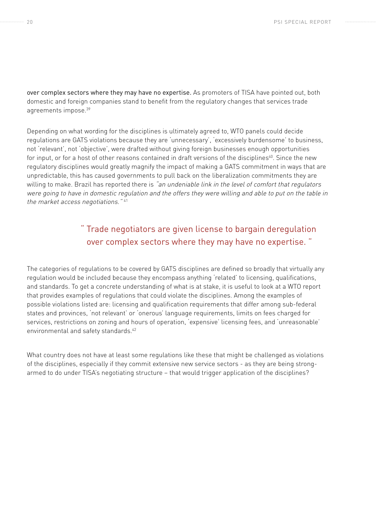over complex sectors where they may have no expertise. As promoters of TISA have pointed out, both domestic and foreign companies stand to benefit from the regulatory changes that services trade agreements impose.39

Depending on what wording for the disciplines is ultimately agreed to, WTO panels could decide regulations are GATS violations because they are 'unnecessary', 'excessively burdensome' to business, not 'relevant', not 'objective', were drafted without giving foreign businesses enough opportunities for input, or for a host of other reasons contained in draft versions of the disciplines<sup>40</sup>. Since the new regulatory disciplines would greatly magnify the impact of making a GATS commitment in ways that are unpredictable, this has caused governments to pull back on the liberalization commitments they are willing to make. Brazil has reported there is "an undeniable link in the level of comfort that regulators were going to have in domestic regulation and the offers they were willing and able to put on the table in the market access negotiations." <sup>41</sup>

#### " Trade negotiators are given license to bargain deregulation over complex sectors where they may have no expertise. "

The categories of regulations to be covered by GATS disciplines are defined so broadly that virtually any regulation would be included because they encompass anything 'related' to licensing, qualifications, and standards. To get a concrete understanding of what is at stake, it is useful to look at a WTO report that provides examples of regulations that could violate the disciplines. Among the examples of possible violations listed are: licensing and qualification requirements that differ among sub-federal states and provinces, 'not relevant' or 'onerous' language requirements, limits on fees charged for services, restrictions on zoning and hours of operation, 'expensive' licensing fees, and 'unreasonable' environmental and safety standards.<sup>42</sup>

What country does not have at least some regulations like these that might be challenged as violations of the disciplines, especially if they commit extensive new service sectors - as they are being strongarmed to do under TISA's negotiating structure – that would trigger application of the disciplines?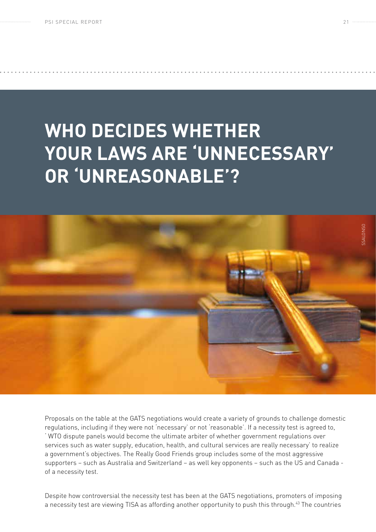## **WHO DECIDES WHETHER YOUR LAWS ARE 'UNNECESSARY' OR 'UNREASONABLE'?**



Proposals on the table at the GATS negotiations would create a variety of grounds to challenge domestic regulations, including if they were not 'necessary' or not 'reasonable'. If a necessity test is agreed to, ' WTO dispute panels would become the ultimate arbiter of whether government regulations over services such as water supply, education, health, and cultural services are really necessary' to realize a government's objectives. The Really Good Friends group includes some of the most aggressive supporters – such as Australia and Switzerland – as well key opponents – such as the US and Canada of a necessity test.

Despite how controversial the necessity test has been at the GATS negotiations, promoters of imposing a necessity test are viewing TISA as affording another opportunity to push this through.<sup>43</sup> The countries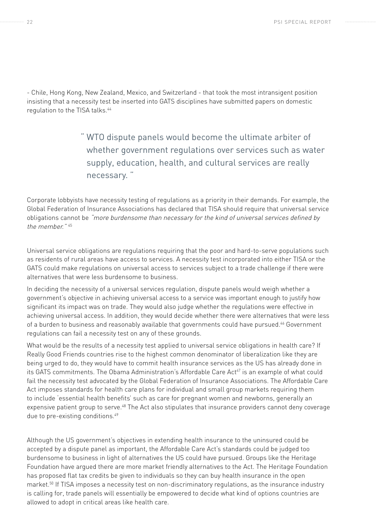- Chile, Hong Kong, New Zealand, Mexico, and Switzerland - that took the most intransigent position insisting that a necessity test be inserted into GATS disciplines have submitted papers on domestic regulation to the TISA talks.<sup>44</sup>

> " WTO dispute panels would become the ultimate arbiter of whether government regulations over services such as water supply, education, health, and cultural services are really necessary. "

Corporate lobbyists have necessity testing of regulations as a priority in their demands. For example, the Global Federation of Insurance Associations has declared that TISA should require that universal service obligations cannot be "more burdensome than necessary for the kind of universal services defined by the member." $45$ 

Universal service obligations are regulations requiring that the poor and hard-to-serve populations such as residents of rural areas have access to services. A necessity test incorporated into either TISA or the GATS could make regulations on universal access to services subject to a trade challenge if there were alternatives that were less burdensome to business.

In deciding the necessity of a universal services regulation, dispute panels would weigh whether a government's objective in achieving universal access to a service was important enough to justify how significant its impact was on trade. They would also judge whether the regulations were effective in achieving universal access. In addition, they would decide whether there were alternatives that were less of a burden to business and reasonably available that governments could have pursued.<sup>46</sup> Government regulations can fail a necessity test on any of these grounds.

What would be the results of a necessity test applied to universal service obligations in health care? If Really Good Friends countries rise to the highest common denominator of liberalization like they are being urged to do, they would have to commit health insurance services as the US has already done in its GATS commitments. The Obama Administration's Affordable Care Act<sup>47</sup> is an example of what could fail the necessity test advocated by the Global Federation of Insurance Associations. The Affordable Care Act imposes standards for health care plans for individual and small group markets requiring them to include 'essential health benefits' such as care for pregnant women and newborns, generally an expensive patient group to serve.<sup>48</sup> The Act also stipulates that insurance providers cannot deny coverage due to pre-existing conditions.<sup>49</sup>

Although the US government's objectives in extending health insurance to the uninsured could be accepted by a dispute panel as important, the Affordable Care Act's standards could be judged too burdensome to business in light of alternatives the US could have pursued. Groups like the Heritage Foundation have argued there are more market friendly alternatives to the Act. The Heritage Foundation has proposed flat tax credits be given to individuals so they can buy health insurance in the open market.<sup>50</sup> If TISA imposes a necessity test on non-discriminatory regulations, as the insurance industry is calling for, trade panels will essentially be empowered to decide what kind of options countries are allowed to adopt in critical areas like health care.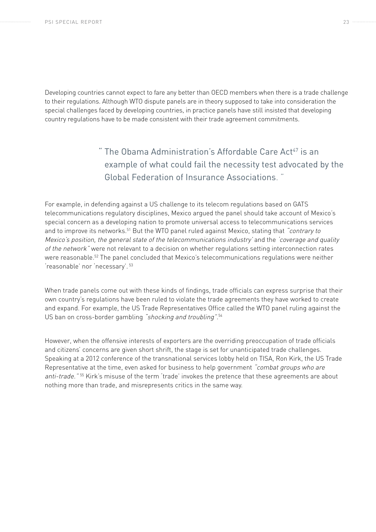Developing countries cannot expect to fare any better than OECD members when there is a trade challenge to their regulations. Although WTO dispute panels are in theory supposed to take into consideration the special challenges faced by developing countries, in practice panels have still insisted that developing country regulations have to be made consistent with their trade agreement commitments.

> " The Obama Administration's Affordable Care Act<sup>47</sup> is an example of what could fail the necessity test advocated by the Global Federation of Insurance Associations. "

For example, in defending against a US challenge to its telecom regulations based on GATS telecommunications regulatory disciplines, Mexico argued the panel should take account of Mexico's special concern as a developing nation to promote universal access to telecommunications services and to improve its networks.<sup>51</sup> But the WTO panel ruled against Mexico, stating that "contrary to Mexico's position, the general state of the telecommunications industry' and the 'coverage and quality of the network" were not relevant to a decision on whether regulations setting interconnection rates were reasonable.<sup>52</sup> The panel concluded that Mexico's telecommunications regulations were neither 'reasonable' nor 'necessary'. 53

When trade panels come out with these kinds of findings, trade officials can express surprise that their own country's regulations have been ruled to violate the trade agreements they have worked to create and expand. For example, the US Trade Representatives Office called the WTO panel ruling against the US ban on cross-border gambling "shocking and troubling".<sup>54</sup>

However, when the offensive interests of exporters are the overriding preoccupation of trade officials and citizens' concerns are given short shrift, the stage is set for unanticipated trade challenges. Speaking at a 2012 conference of the transnational services lobby held on TISA, Ron Kirk, the US Trade Representative at the time, even asked for business to help government "combat groups who are anti-trade."<sup>55</sup> Kirk's misuse of the term 'trade' invokes the pretence that these agreements are about nothing more than trade, and misrepresents critics in the same way.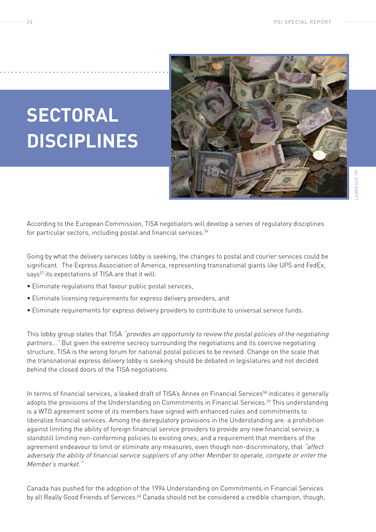# **Sectoral disciplines**

According to the European Commission, TISA negotiators will develop a series of regulatory disciplines for particular sectors, including postal and financial services.<sup>56</sup>

Going by what the delivery services lobby is seeking, the changes to postal and courier services could be significant. The Express Association of America, representing transnational giants like UPS and FedEx, says<sup>57</sup> its expectations of TISA are that it will:

- Eliminate regulations that favour public postal services,
- Eliminate licensing requirements for express delivery providers, and
- Eliminate requirements for express delivery providers to contribute to universal service funds.

This lobby group states that TISA "provides an opportunity to review the postal policies of the negotiating partners..." But given the extreme secrecy surrounding the negotiations and its coercive negotiating structure, TISA is the wrong forum for national postal policies to be revised. Change on the scale that the transnational express delivery lobby is seeking should be debated in legislatures and not decided behind the closed doors of the TISA negotiations.

In terms of financial services, a leaked draft of TISA's Annex on Financial Services<sup>58</sup> indicates it generally adopts the provisions of the Understanding on Commitments in Financial Services.59 This understanding is a WTO agreement some of its members have signed with enhanced rules and commitments to liberalize financial services. Among the deregulatory provisions in the Understanding are: a prohibition against limiting the ability of foreign financial service providers to provide any new financial service; a standstill limiting non-conforming policies to existing ones; and a requirement that members of the agreement endeavour to limit or eliminate any measures, even though non-discriminatory, that "affect adversely the ability of financial service suppliers of any other Member to operate, compete or enter the Member's market."

Canada has pushed for the adoption of the 1994 Understanding on Commitments in Financial Services by all Really Good Friends of Services.<sup>60</sup> Canada should not be considered a credible champion, though,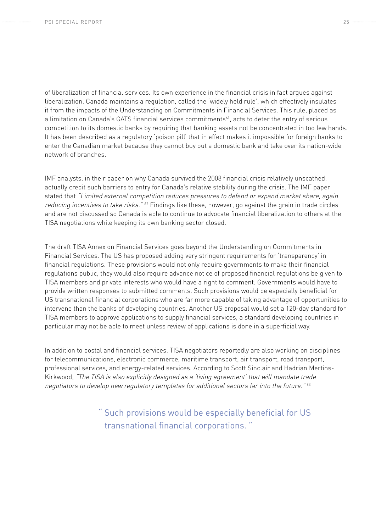of liberalization of financial services. Its own experience in the financial crisis in fact argues against liberalization. Canada maintains a regulation, called the 'widely held rule', which effectively insulates it from the impacts of the Understanding on Commitments in Financial Services. This rule, placed as a limitation on Canada's GATS financial services commitments<sup>61</sup>, acts to deter the entry of serious competition to its domestic banks by requiring that banking assets not be concentrated in too few hands. It has been described as a regulatory 'poison pill' that in effect makes it impossible for foreign banks to enter the Canadian market because they cannot buy out a domestic bank and take over its nation-wide network of branches.

IMF analysts, in their paper on why Canada survived the 2008 financial crisis relatively unscathed, actually credit such barriers to entry for Canada's relative stability during the crisis. The IMF paper stated that "Limited external competition reduces pressures to defend or expand market share, again reducing incentives to take risks." <sup>62</sup> Findings like these, however, go against the grain in trade circles and are not discussed so Canada is able to continue to advocate financial liberalization to others at the TISA negotiations while keeping its own banking sector closed.

The draft TISA Annex on Financial Services goes beyond the Understanding on Commitments in Financial Services. The US has proposed adding very stringent requirements for 'transparency' in financial regulations. These provisions would not only require governments to make their financial regulations public, they would also require advance notice of proposed financial regulations be given to TISA members and private interests who would have a right to comment. Governments would have to provide written responses to submitted comments. Such provisions would be especially beneficial for US transnational financial corporations who are far more capable of taking advantage of opportunities to intervene than the banks of developing countries. Another US proposal would set a 120-day standard for TISA members to approve applications to supply financial services, a standard developing countries in particular may not be able to meet unless review of applications is done in a superficial way.

In addition to postal and financial services, TISA negotiators reportedly are also working on disciplines for telecommunications, electronic commerce, maritime transport, air transport, road transport, professional services, and energy-related services. According to Scott Sinclair and Hadrian Mertins-Kirkwood, "The TISA is also explicitly designed as a 'living agreement' that will mandate trade negotiators to develop new regulatory templates for additional sectors far into the future." 63

> " Such provisions would be especially beneficial for US transnational financial corporations. "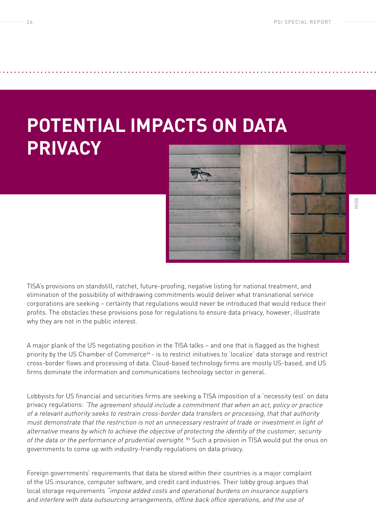### **Potential impacts on data privacy**



TISA's provisions on standstill, ratchet, future-proofing, negative listing for national treatment, and elimination of the possibility of withdrawing commitments would deliver what transnational service corporations are seeking – certainty that regulations would never be introduced that would reduce their profits. The obstacles these provisions pose for regulations to ensure data privacy, however, illustrate why they are not in the public interest.

A major plank of the US negotiating position in the TISA talks – and one that is flagged as the highest priority by the US Chamber of Commerce<sup>64</sup> - is to restrict initiatives to 'localize' data storage and restrict cross-border flows and processing of data. Cloud-based technology firms are mostly US-based, and US firms dominate the information and communications technology sector in general.

Lobbyists for US financial and securities firms are seeking a TISA imposition of a 'necessity test' on data privacy regulations: 'The agreement should include a commitment that when an act, policy or practice of a relevant authority seeks to restrain cross-border data transfers or processing, that that authority must demonstrate that the restriction is not an unnecessary restraint of trade or investment in light of alternative means by which to achieve the objective of protecting the identity of the customer, security of the data or the performance of prudential oversight.<sup>'65</sup> Such a provision in TISA would put the onus on governments to come up with industry-friendly regulations on data privacy.

Foreign governments' requirements that data be stored within their countries is a major complaint of the US insurance, computer software, and credit card industries. Their lobby group argues that local storage requirements *"impose added costs and operational burdens on insurance suppliers* and interfere with data outsourcing arrangements, offline back office operations, and the use of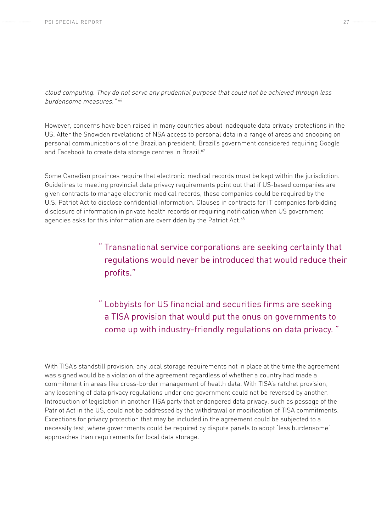cloud computing. They do not serve any prudential purpose that could not be achieved through less burdensome measures." 66

However, concerns have been raised in many countries about inadequate data privacy protections in the US. After the Snowden revelations of NSA access to personal data in a range of areas and snooping on personal communications of the Brazilian president, Brazil's government considered requiring Google and Facebook to create data storage centres in Brazil.<sup>67</sup>

Some Canadian provinces require that electronic medical records must be kept within the jurisdiction. Guidelines to meeting provincial data privacy requirements point out that if US-based companies are given contracts to manage electronic medical records, these companies could be required by the U.S. Patriot Act to disclose confidential information. Clauses in contracts for IT companies forbidding disclosure of information in private health records or requiring notification when US government agencies asks for this information are overridden by the Patriot Act.<sup>68</sup>

#### " Transnational service corporations are seeking certainty that regulations would never be introduced that would reduce their profits."

" Lobbyists for US financial and securities firms are seeking a TISA provision that would put the onus on governments to come up with industry-friendly regulations on data privacy. "

With TISA's standstill provision, any local storage requirements not in place at the time the agreement was signed would be a violation of the agreement regardless of whether a country had made a commitment in areas like cross-border management of health data. With TISA's ratchet provision, any loosening of data privacy regulations under one government could not be reversed by another. Introduction of legislation in another TISA party that endangered data privacy, such as passage of the Patriot Act in the US, could not be addressed by the withdrawal or modification of TISA commitments. Exceptions for privacy protection that may be included in the agreement could be subjected to a necessity test, where governments could be required by dispute panels to adopt 'less burdensome' approaches than requirements for local data storage.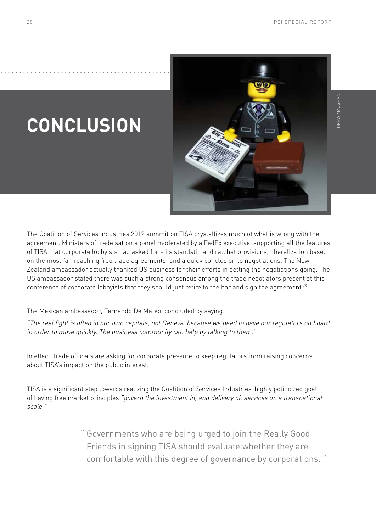# **conclusion** drew manufacturer

The Coalition of Services Industries 2012 summit on TISA crystallizes much of what is wrong with the agreement. Ministers of trade sat on a panel moderated by a FedEx executive, supporting all the features of TISA that corporate lobbyists had asked for – its standstill and ratchet provisions, liberalization based on the most far-reaching free trade agreements, and a quick conclusion to negotiations. The New Zealand ambassador actually thanked US business for their efforts in getting the negotiations going. The US ambassador stated there was such a strong consensus among the trade negotiators present at this conference of corporate lobbyists that they should just retire to the bar and sign the agreement.<sup>69</sup>

The Mexican ambassador, Fernando De Mateo, concluded by saying:

"The real fight is often in our own capitals, not Geneva, because we need to have our regulators on board in order to move quickly. The business community can help by talking to them."

In effect, trade officials are asking for corporate pressure to keep regulators from raising concerns about TISA's impact on the public interest.

TISA is a significant step towards realizing the Coalition of Services Industries' highly politicized goal of having free market principles "govern the investment in, and delivery of, services on a transnational scale."

> " Governments who are being urged to join the Really Good Friends in signing TISA should evaluate whether they are comfortable with this degree of governance by corporations. "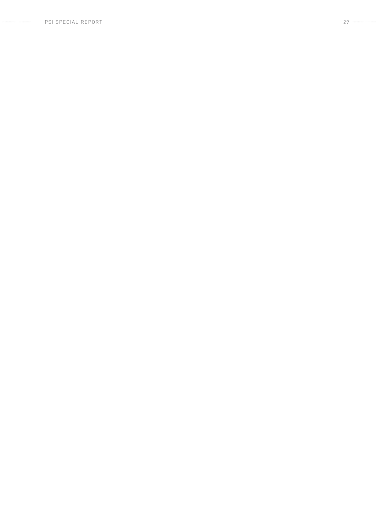PSI Special Report 29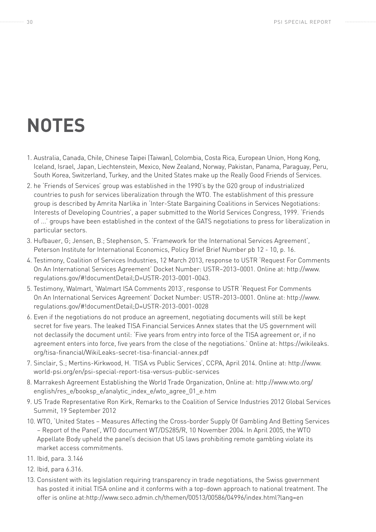### **notes**

- 1. Australia, Canada, Chile, Chinese Taipei (Taiwan), Colombia, Costa Rica, European Union, Hong Kong, Iceland, Israel, Japan, Liechtenstein, Mexico, New Zealand, Norway, Pakistan, Panama, Paraguay, Peru, South Korea, Switzerland, Turkey, and the United States make up the Really Good Friends of Services.
- 2. he 'Friends of Services' group was established in the 1990's by the G20 group of industrialized countries to push for services liberalization through the WTO. The establishment of this pressure group is described by Amrita Narlika in 'Inter-State Bargaining Coalitions in Services Negotiations: Interests of Developing Countries', a paper submitted to the World Services Congress, 1999. 'Friends of ...' groups have been established in the context of the GATS negotiations to press for liberalization in particular sectors.
- 3. Hufbauer, G; Jensen, B.; Stephenson, S. 'Framework for the International Services Agreement', Peterson Institute for International Economics, Policy Brief Brief Number pb 12 - 10, p. 16.
- 4. Testimony, Coalition of Services Industries, 12 March 2013, response to USTR 'Request For Comments On An International Services Agreement' Docket Number: USTR–2013–0001. Online at: http://www. regulations.gov/#!documentDetail;D=USTR-2013-0001-0043.
- 5. Testimony, Walmart, 'Walmart ISA Comments 2013', response to USTR 'Request For Comments On An International Services Agreement' Docket Number: USTR–2013–0001. Online at: http://www. regulations.gov/#!documentDetail;D=USTR-2013-0001-0028
- 6. Even if the negotiations do not produce an agreement, negotiating documents will still be kept secret for five years. The leaked TISA Financial Services Annex states that the US government will not declassify the document until: 'Five years from entry into force of the TISA agreement or, if no agreement enters into force, five years from the close of the negotiations.' Online at: https://wikileaks. org/tisa-financial/WikiLeaks-secret-tisa-financial-annex.pdf
- 7. Sinclair, S.; Mertins-Kirkwood, H. 'TISA vs Public Services', CCPA, April 2014. Online at: http://www. world-psi.org/en/psi-special-report-tisa-versus-public-services
- 8. Marrakesh Agreement Establishing the World Trade Organization, Online at: http://www.wto.org/ english/res\_e/booksp\_e/analytic\_index\_e/wto\_agree\_01\_e.htm
- 9. US Trade Representative Ron Kirk, Remarks to the Coalition of Service Industries 2012 Global Services Summit, 19 September 2012
- 10. WTO, 'United States Measures Affecting the Cross-border Supply Of Gambling And Betting Services – Report of the Panel', WTO document WT/DS285/R, 10 November 2004. In April 2005, the WTO Appellate Body upheld the panel's decision that US laws prohibiting remote gambling violate its market access commitments.
- 11. Ibid, para. 3.146
- 12. Ibid, para 6.316.
- 13. Consistent with its legislation requiring transparency in trade negotiations, the Swiss government has posted it initial TISA online and it conforms with a top-down approach to national treatment. The offer is online at:http://www.seco.admin.ch/themen/00513/00586/04996/index.html?lang=en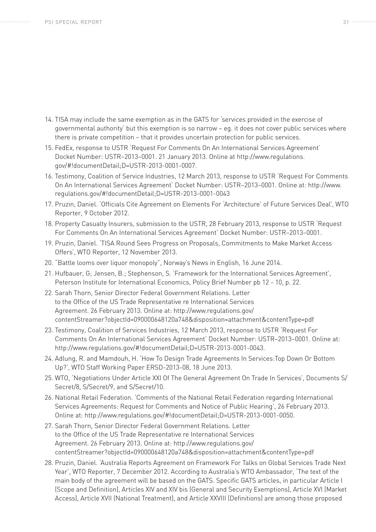- 14. TISA may include the same exemption as in the GATS for 'services provided in the exercise of governmental authority' but this exemption is so narrow – eg. it does not cover public services where there is private competition – that it provides uncertain protection for public services.
- 15. FedEx, response to USTR 'Request For Comments On An International Services Agreement' Docket Number: USTR–2013–0001. 21 January 2013. Online at http://www.regulations. gov/#!documentDetail;D=USTR-2013-0001-0007.
- 16. Testimony, Coalition of Service Industries, 12 March 2013, response to USTR 'Request For Comments On An International Services Agreement' Docket Number: USTR–2013–0001. Online at: http://www. regulations.gov/#!documentDetail;D=USTR-2013-0001-0043
- 17. Pruzin, Daniel. 'Officials Cite Agreement on Elements For 'Architecture' of Future Services Deal', WTO Reporter, 9 October 2012.
- 18. Property Casualty Insurers, submission to the USTR, 28 February 2013, response to USTR 'Request For Comments On An International Services Agreement' Docket Number: USTR–2013–0001.
- 19. Pruzin, Daniel. 'TISA Round Sees Progress on Proposals, Commitments to Make Market Access Offers', WTO Reporter, 12 November 2013.
- 20. "Battle looms over liquor monopoly", Norway's News in English, 16 June 2014.
- 21. Hufbauer, G; Jensen, B.; Stephenson, S. 'Framework for the International Services Agreement', Peterson Institute for International Economics, Policy Brief Number pb 12 - 10, p. 22.
- 22. Sarah Thorn, Senior Director Federal Government Relations. Letter to the Office of the US Trade Representative re International Services Agreement. 26 February 2013. Online at: http://www.regulations.gov/ contentStreamer?objectId=090000648120a748&disposition=attachment&contentType=pdf
- 23. Testimony, Coalition of Services Industries, 12 March 2013, response to USTR 'Request For Comments On An International Services Agreement' Docket Number: USTR–2013–0001. Online at: http://www.regulations.gov/#!documentDetail;D=USTR-2013-0001-0043.
- 24. Adlung, R. and Mamdouh, H. 'How To Design Trade Agreements In Services:Top Down Or Bottom Up?', WTO Staff Working Paper ERSD-2013-08, 18 June 2013.
- 25. WTO, 'Negotiations Under Article XXI Of The General Agreement On Trade In Services', Documents S/ Secret/8, S/Secret/9, and S/Secret/10.
- 26. National Retail Federation. 'Comments of the National Retail Federation regarding International Services Agreements: Request for Comments and Notice of Public Hearing', 26 February 2013. Online at: http://www.regulations.gov/#!documentDetail;D=USTR-2013-0001-0050.
- 27. Sarah Thorn, Senior Director Federal Government Relations. Letter to the Office of the US Trade Representative re International Services Agreement. 26 February 2013. Online at: http://www.regulations.gov/ contentStreamer?objectId=090000648120a748&disposition=attachment&contentType=pdf
- 28. Pruzin, Daniel. 'Australia Reports Agreement on Framework For Talks on Global Services Trade Next Year', WTO Reporter, 7 December 2012. According to Australia's WTO Ambassador, 'The text of the main body of the agreement will be based on the GATS. Specific GATS articles, in particular Article I (Scope and Definition), Articles XIV and XIV bis (General and Security Exemptions), Article XVI (Market Access), Article XVII (National Treatment), and Article XXVIII (Definitions) are among those proposed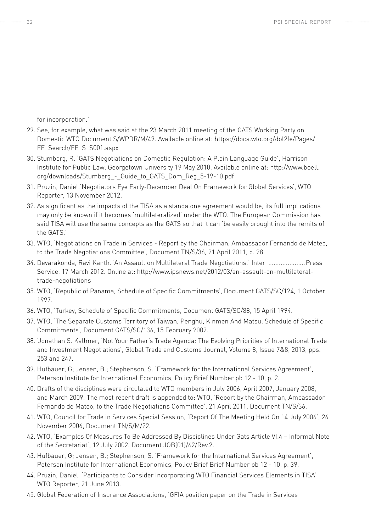for incorporation.'

- 29. See, for example, what was said at the 23 March 2011 meeting of the GATS Working Party on Domestic WTO Document S/WPDR/M/49. Available online at: https://docs.wto.org/dol2fe/Pages/ FE\_Search/FE\_S\_S001.aspx
- 30. Stumberg, R. 'GATS Negotiations on Domestic Regulation: A Plain Language Guide', Harrison Institute for Public Law, Georgetown University 19 May 2010. Available online at: http://www.boell. org/downloads/Stumberg\_-\_Guide\_to\_GATS\_Dom\_Reg\_5-19-10.pdf
- 31. Pruzin, Daniel.'Negotiators Eye Early-December Deal On Framework for Global Services', WTO Reporter, 13 November 2012.
- 32. As significant as the impacts of the TISA as a standalone agreement would be, its full implications may only be known if it becomes 'multilateralized' under the WTO. The European Commission has said TISA will use the same concepts as the GATS so that it can 'be easily brought into the remits of the GATS<sup>'</sup>
- 33. WTO, 'Negotiations on Trade in Services Report by the Chairman, Ambassador Fernando de Mateo, to the Trade Negotiations Committee', Document TN/S/36, 21 April 2011, p. 28.
- 34. Devarakonda, Ravi Kanth. 'An Assault on Multilateral Trade Negotiations.' Inter .....................Press Service, 17 March 2012. Online at: http://www.ipsnews.net/2012/03/an-assault-on-multilateraltrade-negotiations
- 35. WTO, 'Republic of Panama, Schedule of Specific Commitments', Document GATS/SC/124, 1 October 1997.
- 36. WTO, 'Turkey, Schedule of Specific Commitments, Document GATS/SC/88, 15 April 1994.
- 37. WTO, 'The Separate Customs Territory of Taiwan, Penghu, Kinmen And Matsu, Schedule of Specific Commitments', Document GATS/SC/136, 15 February 2002.
- 38. 'Jonathan S. Kallmer, 'Not Your Father's Trade Agenda: The Evolving Priorities of International Trade and Investment Negotiations', Global Trade and Customs Journal, Volume 8, Issue 7&8, 2013, pps. 253 and 247.
- 39. Hufbauer, G; Jensen, B.; Stephenson, S. 'Framework for the International Services Agreement', Peterson Institute for International Economics, Policy Brief Number pb 12 - 10, p. 2.
- 40. Drafts of the disciplines were circulated to WTO members in July 2006, April 2007, January 2008, and March 2009. The most recent draft is appended to: WTO, 'Report by the Chairman, Ambassador Fernando de Mateo, to the Trade Negotiations Committee', 21 April 2011, Document TN/S/36.
- 41. WTO, Council for Trade in Services Special Session, 'Report Of The Meeting Held On 14 July 2006', 26 November 2006, Document TN/S/M/22.
- 42. WTO, 'Examples Of Measures To Be Addressed By Disciplines Under Gats Article VI.4 Informal Note of the Secretariat', 12 July 2002. Document JOB(01)/62/Rev.2.
- 43. Hufbauer, G; Jensen, B.; Stephenson, S. 'Framework for the International Services Agreement', Peterson Institute for International Economics, Policy Brief Brief Number pb 12 - 10, p. 39.
- 44. Pruzin, Daniel. 'Participants to Consider Incorporating WTO Financial Services Elements in TISA' WTO Reporter, 21 June 2013.
- 45. Global Federation of Insurance Associations, 'GFIA position paper on the Trade in Services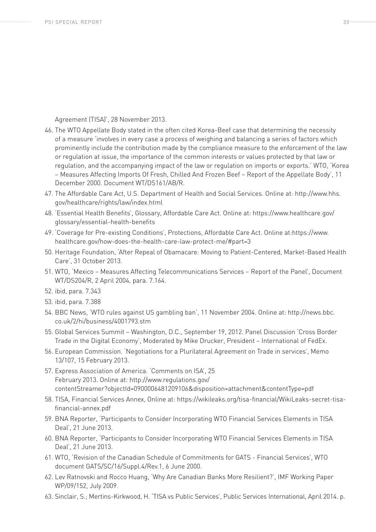Agreement (TISA)', 28 November 2013.

- 46. The WTO Appellate Body stated in the often cited Korea-Beef case that determining the necessity of a measure 'involves in every case a process of weighing and balancing a series of factors which prominently include the contribution made by the compliance measure to the enforcement of the law or regulation at issue, the importance of the common interests or values protected by that law or regulation, and the accompanying impact of the law or regulation on imports or exports.' WTO, 'Korea – Measures Affecting Imports Of Fresh, Chilled And Frozen Beef – Report of the Appellate Body', 11 December 2000. Document WT/DS161/AB/R.
- 47. The Affordable Care Act, U.S. Department of Health and Social Services. Online at: http://www.hhs. gov/healthcare/rights/law/index.html
- 48. 'Essential Health Benefits', Glossary, Affordable Care Act. Online at: https://www.healthcare.gov/ glossary/essential-health-benefits
- 49. 'Coverage for Pre-existing Conditions', Protections, Affordable Care Act. Online at:https://www. healthcare.gov/how-does-the-health-care-law-protect-me/#part=3
- 50. Heritage Foundation, 'After Repeal of Obamacare: Moving to Patient-Centered, Market-Based Health Care', 31 October 2013.
- 51. WTO, 'Mexico Measures Affecting Telecommunications Services Report of the Panel', Document WT/DS204/R, 2 April 2004, para. 7.164.
- 52. ibid, para. 7.343
- 53. ibid, para. 7.388
- 54. BBC News, 'WTO rules against US gambling ban', 11 November 2004. Online at: http://news.bbc. co.uk/2/hi/business/4001793.stm
- 55. Global Services Summit Washington, D.C., September 19, 2012. Panel Discussion 'Cross Border Trade in the Digital Economy', Moderated by Mike Drucker, President – International of FedEx.
- 56. European Commission. 'Negotiations for a Plurilateral Agreement on Trade in services', Memo 13/107, 15 February 2013.
- 57. Express Association of America. 'Comments on ISA', 25 February 2013. Online at: http://www.regulations.gov/ contentStreamer?objectId=0900006481209106&disposition=attachment&contentType=pdf
- 58. TISA, Financial Services Annex, Online at: https://wikileaks.org/tisa-financial/WikiLeaks-secret-tisafinancial-annex.pdf
- 59. BNA Reporter, 'Participants to Consider Incorporating WTO Financial Services Elements in TISA Deal', 21 June 2013.
- 60. BNA Reporter, 'Participants to Consider Incorporating WTO Financial Services Elements in TISA Deal', 21 June 2013.
- 61. WTO, 'Revision of the Canadian Schedule of Commitments for GATS Financial Services', WTO document GATS/SC/16/Suppl.4/Rev.1, 6 June 2000.
- 62. Lev Ratnovski and Rocco Huang, 'Why Are Canadian Banks More Resilient?', IMF Working Paper WP/09/152, July 2009.
- 63. Sinclair, S.; Mertins-Kirkwood, H. 'TISA vs Public Services', Public Services International, April 2014. p.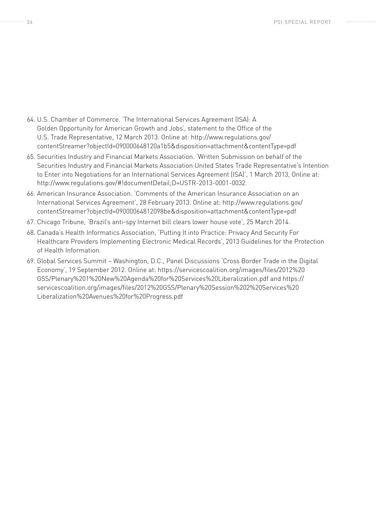- 64. U.S. Chamber of Commerce. 'The International Services Agreement (ISA): A Golden Opportunity for American Growth and Jobs', statement to the Office of the U.S. Trade Representative, 12 March 2013. Online at: http://www.regulations.gov/ contentStreamer?objectId=090000648120a1b5&disposition=attachment&contentType=pdf
- 65. Securities Industry and Financial Markets Association. 'Written Submission on behalf of the Securities Industry and Financial Markets Association United States Trade Representative's Intention to Enter into Negotiations for an International Services Agreement (ISA)', 1 March 2013, Online at: http://www.regulations.gov/#!documentDetail;D=USTR-2013-0001-0032.
- 66. American Insurance Association. 'Comments of the American Insurance Association on an International Services Agreement', 28 February 2013. Online at: http://www.regulations.gov/ contentStreamer?objectId=09000064812098be&disposition=attachment&contentType=pdf
- 67. Chicago Tribune, 'Brazil's anti-spy Internet bill clears lower house vote', 25 March 2014.
- 68. Canada's Health Informatics Association, 'Putting It into Practice: Privacy And Security For Healthcare Providers Implementing Electronic Medical Records', 2013 Guidelines for the Protection of Health Information.
- 69. Global Services Summit Washington, D.C., Panel Discussions 'Cross Border Trade in the Digital Economy', 19 September 2012. Online at: https://servicescoalition.org/images/files/2012%20 GSS/Plenary%201%20New%20Agenda%20for%20Services%20Liberalization.pdf and https:// servicescoalition.org/images/files/2012%20GSS/Plenary%20Session%202%20Services%20 Liberalization%20Avenues%20for%20Progress.pdf